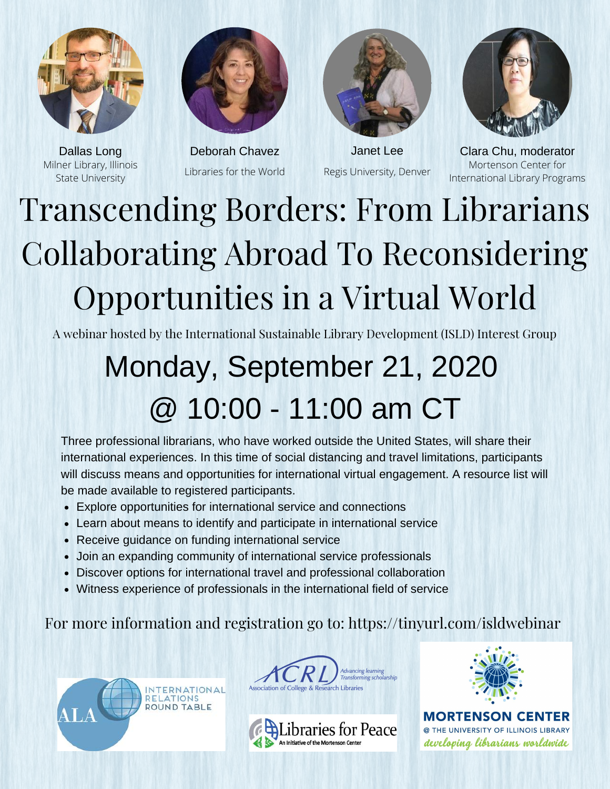



Milner Library, Illinois State University

Libraries for the World



Regis University, Denver



Dallas Long Deborah Chavez Janet Lee Clara Chu, moderator Mortenson Center for International Library Programs

## Transcending Borders: From Librarians Collaborating Abroad To Reconsidering Opportunities in a Virtual World

A webinar hosted by the International Sustainable Library Development (ISLD) Interest Group

## Monday, September 21, 2020 @ 10:00 - 11:00 am CT

Three professional librarians, who have worked outside the United States, will share their international experiences. In this time of social distancing and travel limitations, participants will discuss means and opportunities for international virtual engagement. A resource list will be made available to registered participants.

- Explore opportunities for international service and connections
- Learn about means to identify and participate in international service
- Receive guidance on funding international service
- Join an expanding community of international service professionals
- Discover options for international travel and professional collaboration
- Witness experience of professionals in the international field of service

For more information and registration go to: https://tinyurl.com/isldwebinar









**MORTENSON CENTER** @ THE UNIVERSITY OF ILLINOIS LIBRARY developing librarians worldwide